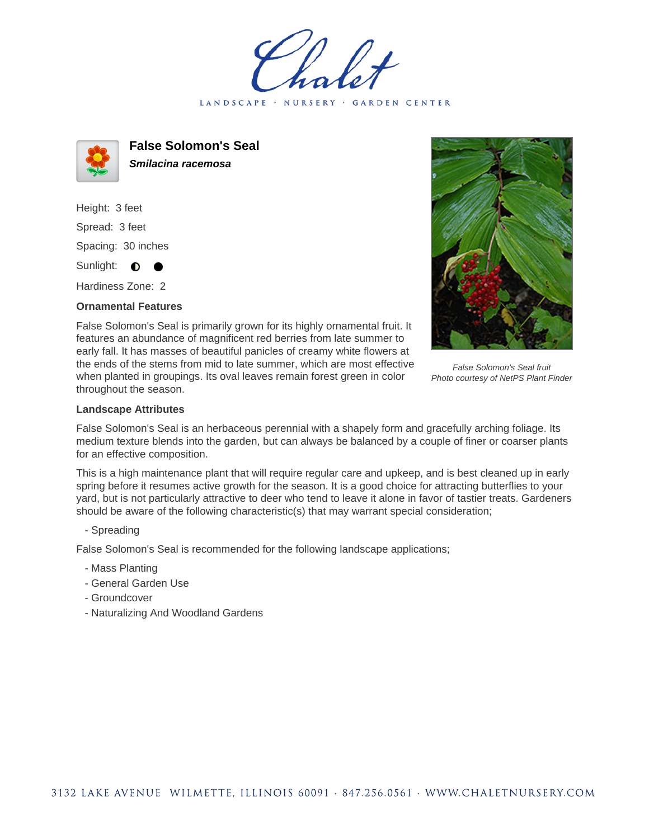LANDSCAPE · NURSERY GARDEN CENTER



**False Solomon's Seal Smilacina racemosa**

Height: 3 feet Spread: 3 feet Spacing: 30 inches Sunlight:  $\bullet$ 

Hardiness Zone: 2

## **Ornamental Features**

False Solomon's Seal is primarily grown for its highly ornamental fruit. It features an abundance of magnificent red berries from late summer to early fall. It has masses of beautiful panicles of creamy white flowers at the ends of the stems from mid to late summer, which are most effective when planted in groupings. Its oval leaves remain forest green in color throughout the season.

False Solomon's Seal fruit Photo courtesy of NetPS Plant Finder

## **Landscape Attributes**

False Solomon's Seal is an herbaceous perennial with a shapely form and gracefully arching foliage. Its medium texture blends into the garden, but can always be balanced by a couple of finer or coarser plants for an effective composition.

This is a high maintenance plant that will require regular care and upkeep, and is best cleaned up in early spring before it resumes active growth for the season. It is a good choice for attracting butterflies to your yard, but is not particularly attractive to deer who tend to leave it alone in favor of tastier treats. Gardeners should be aware of the following characteristic(s) that may warrant special consideration;

- Spreading

False Solomon's Seal is recommended for the following landscape applications;

- Mass Planting
- General Garden Use
- Groundcover
- Naturalizing And Woodland Gardens